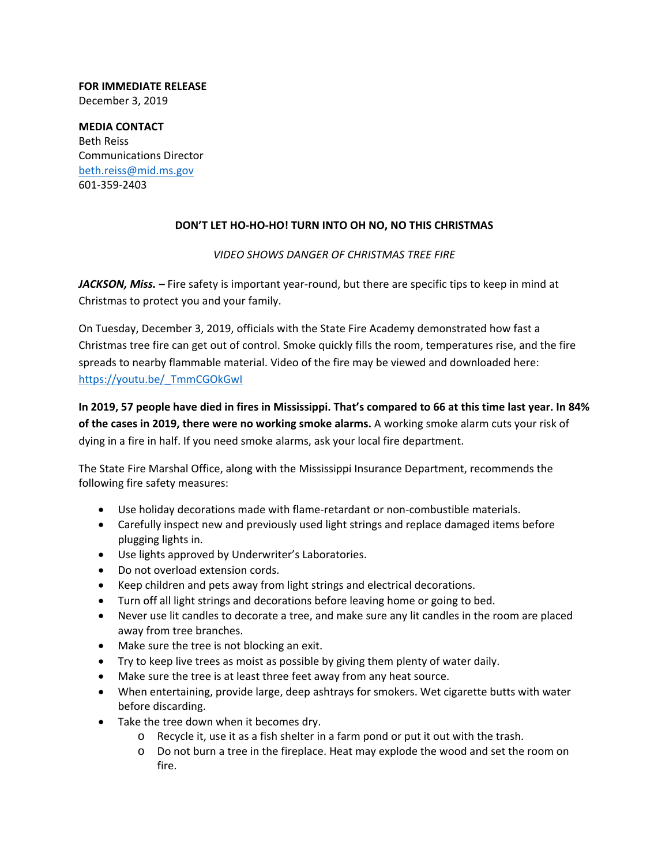## **FOR IMMEDIATE RELEASE** December 3, 2019

**MEDIA CONTACT** Beth Reiss Communications Director beth.reiss@mid.ms.gov 601‐359‐2403

## **DON'T LET HO‐HO‐HO! TURN INTO OH NO, NO THIS CHRISTMAS**

## *VIDEO SHOWS DANGER OF CHRISTMAS TREE FIRE*

*JACKSON, Miss. –* Fire safety is important year‐round, but there are specific tips to keep in mind at Christmas to protect you and your family.

On Tuesday, December 3, 2019, officials with the State Fire Academy demonstrated how fast a Christmas tree fire can get out of control. Smoke quickly fills the room, temperatures rise, and the fire spreads to nearby flammable material. Video of the fire may be viewed and downloaded here: https://youtu.be/\_TmmCGOkGwI

In 2019, 57 people have died in fires in Mississippi. That's compared to 66 at this time last year. In 84% **of the cases in 2019, there were no working smoke alarms.** A working smoke alarm cuts your risk of dying in a fire in half. If you need smoke alarms, ask your local fire department.

The State Fire Marshal Office, along with the Mississippi Insurance Department, recommends the following fire safety measures:

- Use holiday decorations made with flame-retardant or non-combustible materials.
- Carefully inspect new and previously used light strings and replace damaged items before plugging lights in.
- Use lights approved by Underwriter's Laboratories.
- Do not overload extension cords.
- Keep children and pets away from light strings and electrical decorations.
- Turn off all light strings and decorations before leaving home or going to bed.
- Never use lit candles to decorate a tree, and make sure any lit candles in the room are placed away from tree branches.
- Make sure the tree is not blocking an exit.
- Try to keep live trees as moist as possible by giving them plenty of water daily.
- Make sure the tree is at least three feet away from any heat source.
- When entertaining, provide large, deep ashtrays for smokers. Wet cigarette butts with water before discarding.
- Take the tree down when it becomes dry.
	- o Recycle it, use it as a fish shelter in a farm pond or put it out with the trash.
	- o Do not burn a tree in the fireplace. Heat may explode the wood and set the room on fire.